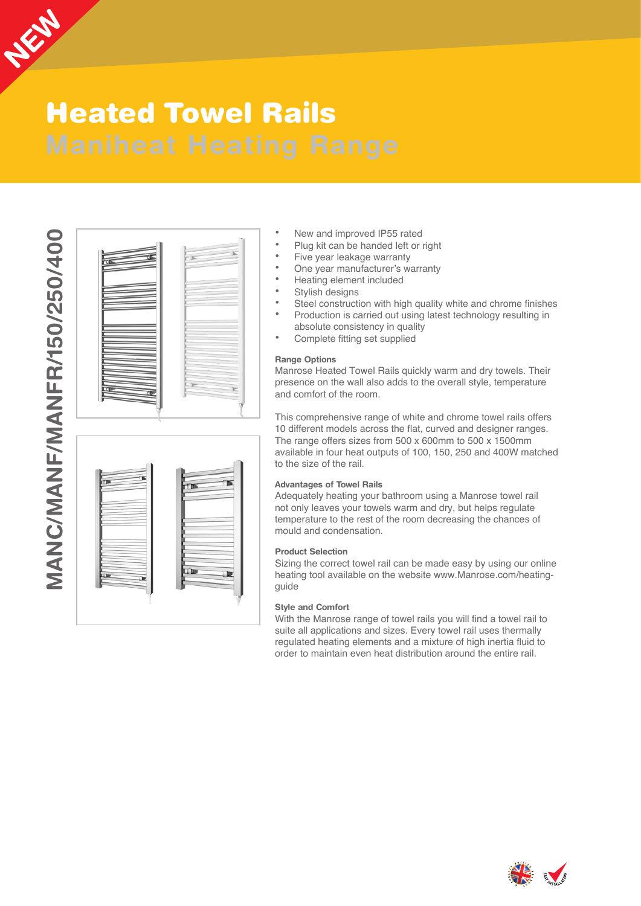

# Heated Towel Rails

MANC/MANF/MANFR/150/250/400 **MANC/MANF/MANFR/150/250/400**

|  | K |
|--|---|
|  |   |
|  |   |

- New and improved IP55 rated
- Plug kit can be handed left or right
- Five year leakage warranty
- One year manufacturer's warranty
- Heating element included
- Stylish designs
- Steel construction with high quality white and chrome finishes
	- Production is carried out using latest technology resulting in absolute consistency in quality
- Complete fitting set supplied

#### **Range Options**

Manrose Heated Towel Rails quickly warm and dry towels. Their presence on the wall also adds to the overall style, temperature and comfort of the room.

This comprehensive range of white and chrome towel rails offers 10 different models across the flat, curved and designer ranges. The range offers sizes from 500 x 600mm to 500 x 1500mm available in four heat outputs of 100, 150, 250 and 400W matched to the size of the rail.

#### **Advantages of Towel Rails**

Adequately heating your bathroom using a Manrose towel rail not only leaves your towels warm and dry, but helps regulate temperature to the rest of the room decreasing the chances of mould and condensation.

#### **Product Selection**

Sizing the correct towel rail can be made easy by using our online heating tool available on the website www.Manrose.com/heatingguide

#### **Style and Comfort**

With the Manrose range of towel rails you will find a towel rail to suite all applications and sizes. Every towel rail uses thermally regulated heating elements and a mixture of high inertia fluid to order to maintain even heat distribution around the entire rail.